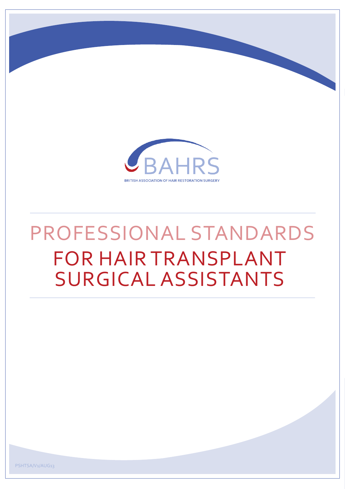

# PROFESSIONAL STANDARDS FOR HAIR TRANSPLANT SURGICAL ASSISTANTS

PSHTSA/V1/AUG13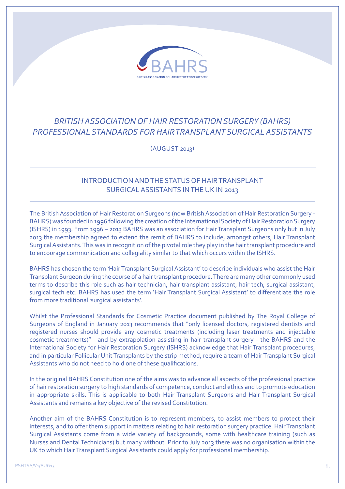

# *BRITISH ASSOCIATION OF HAIR RESTORATION SURGERY (BAHRS) PROFESSIONAL STANDARDS FOR HAIR TRANSPLANT SURGICAL ASSISTANTS*

(AUGUST 2013)

## INTRODUCTION AND THE STATUS OF HAIR TRANSPLANT SURGICAL ASSISTANTS IN THE UK IN 2013

The British Association of Hair Restoration Surgeons (now British Association of Hair Restoration Surgery - BAHRS) was founded in 1996 following the creation of the International Society of Hair Restoration Surgery (ISHRS) in 1993. From 1996 – 2013 BAHRS was an association for Hair Transplant Surgeons only but in July 2013 the membership agreed to extend the remit of BAHRS to include, amongst others, Hair Transplant Surgical Assistants. This was in recognition of the pivotal role they play in the hair transplant procedure and to encourage communication and collegiality similar to that which occurs within the ISHRS.

BAHRS has chosen the term 'Hair Transplant Surgical Assistant' to describe individuals who assist the Hair Transplant Surgeon during the course of a hair transplant procedure. There are many other commonly used terms to describe this role such as hair technician, hair transplant assistant, hair tech, surgical assistant, surgical tech etc. BAHRS has used the term 'Hair Transplant Surgical Assistant' to differentiate the role from more traditional 'surgical assistants'.

Whilst the Professional Standards for Cosmetic Practice document published by The Royal College of Surgeons of England in January 2013 recommends that "only licensed doctors, registered dentists and registered nurses should provide any cosmetic treatments (including laser treatments and injectable cosmetic treatments)" - and by extrapolation assisting in hair transplant surgery - the BAHRS and the International Society for Hair Restoration Surgery (ISHRS) acknowledge that Hair Transplant procedures, and in particular Follicular Unit Transplants by the strip method, require a team of Hair Transplant Surgical Assistants who do not need to hold one of these qualifications.

In the original BAHRS Constitution one of the aims was to advance all aspects of the professional practice of hair restoration surgery to high standards of competence, conduct and ethics and to promote education in appropriate skills. This is applicable to both Hair Transplant Surgeons and Hair Transplant Surgical Assistants and remains a key objective of the revised Constitution.

Another aim of the BAHRS Constitution is to represent members, to assist members to protect their interests, and to offer them support in matters relating to hair restoration surgery practice. Hair Transplant Surgical Assistants come from a wide variety of backgrounds, some with healthcare training (such as Nurses and Dental Technicians) but many without. Prior to July 2013 there was no organisation within the UK to which Hair Transplant Surgical Assistants could apply for professional membership.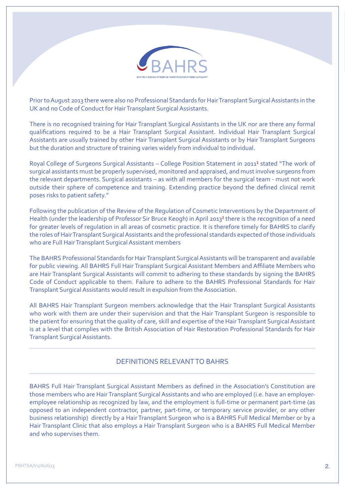

Prior to August 2013 there were also no Professional Standards for Hair Transplant Surgical Assistants in the UK and no Code of Conduct for Hair Transplant Surgical Assistants.

There is no recognised training for Hair Transplant Surgical Assistants in the UK nor are there any formal qualifications required to be a Hair Transplant Surgical Assistant. Individual Hair Transplant Surgical Assistants are usually trained by other Hair Transplant Surgical Assistants or by Hair Transplant Surgeons but the duration and structure of training varies widely from individual to individual.

Royal College of Surgeons Surgical Assistants – College Position Statement in 2011<sup>1</sup> stated "The work of surgical assistants must be properly supervised, monitored and appraised, and must involve surgeons from the relevant departments. Surgical assistants – as with all members for the surgical team - must not work outside their sphere of competence and training. Extending practice beyond the defined clinical remit poses risks to patient safety."

Following the publication of the Review of the Regulation of Cosmetic Interventions by the Department of Health (under the leadership of Professor Sir Bruce Keogh) in April 2013² there is the recognition of a need for greater levels of regulation in all areas of cosmetic practice. It is therefore timely for BAHRS to clarify the roles of Hair Transplant Surgical Assistants and the professional standards expected of those individuals who are Full Hair Transplant Surgical Assistant members

The BAHRS Professional Standards for Hair Transplant Surgical Assistants will be transparent and available for public viewing. All BAHRS Full Hair Transplant Surgical Assistant Members and Affiliate Members who are Hair Transplant Surgical Assistants will commit to adhering to these standards by signing the BAHRS Code of Conduct applicable to them. Failure to adhere to the BAHRS Professional Standards for Hair Transplant Surgical Assistants would result in expulsion from the Association.

All BAHRS Hair Transplant Surgeon members acknowledge that the Hair Transplant Surgical Assistants who work with them are under their supervision and that the Hair Transplant Surgeon is responsible to the patient for ensuring that the quality of care, skill and expertise of the Hair Transplant Surgical Assistant is at a level that complies with the British Association of Hair Restoration Professional Standards for Hair Transplant Surgical Assistants.

#### DEFINITIONS RELEVANT TO BAHRS

BAHRS Full Hair Transplant Surgical Assistant Members as defined in the Association's Constitution are those members who are Hair Transplant Surgical Assistants and who are employed (i.e. have an employeremployee relationship as recognized by law, and the employment is full-time or permanent part-time (as opposed to an independent contractor, partner, part-time, or temporary service provider, or any other business relationship) directly by a Hair Transplant Surgeon who is a BAHRS Full Medical Member or by a Hair Transplant Clinic that also employs a Hair Transplant Surgeon who is a BAHRS Full Medical Member and who supervises them.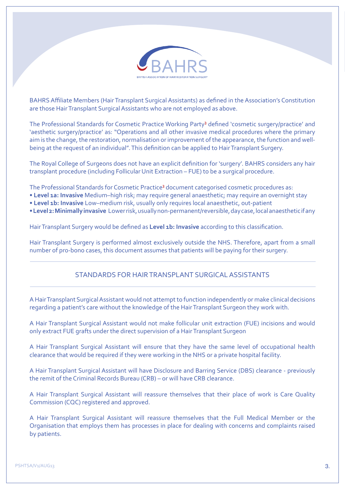

BAHRS Affiliate Members (Hair Transplant Surgical Assistants) as defined in the Association's Constitution are those Hair Transplant Surgical Assistants who are not employed as above.

The Professional Standards for Cosmetic Practice Working Party<sup>3</sup> defined 'cosmetic surgery/practice' and 'aesthetic surgery/practice' as: "Operations and all other invasive medical procedures where the primary aim is the change, the restoration, normalisation or improvement of the appearance, the function and wellbeing at the request of an individual". This definition can be applied to Hair Transplant Surgery.

The Royal College of Surgeons does not have an explicit definition for 'surgery'. BAHRS considers any hair transplant procedure (including Follicular Unit Extraction – FUE) to be a surgical procedure.

The Professional Standards for Cosmetic Practice³ document categorised cosmetic procedures as:

- **Level 1a: Invasive** Medium–high risk; may require general anaesthetic; may require an overnight stay
- **Level 1b: Invasive** Low–medium risk, usually only requires local anaesthetic, out-patient
- **Level 2: Minimally invasive** Lower risk, usually non-permanent/reversible, day case, local anaesthetic if any

Hair Transplant Surgery would be defined as **Level 1b: Invasive** according to this classification.

Hair Transplant Surgery is performed almost exclusively outside the NHS. Therefore, apart from a small number of pro-bono cases, this document assumes that patients will be paying for their surgery.

#### STANDARDS FOR HAIR TRANSPLANT SURGICAL ASSISTANTS

A Hair Transplant Surgical Assistant would not attempt to function independently or make clinical decisions regarding a patient's care without the knowledge of the Hair Transplant Surgeon they work with.

A Hair Transplant Surgical Assistant would not make follicular unit extraction (FUE) incisions and would only extract FUE grafts under the direct supervision of a Hair Transplant Surgeon

A Hair Transplant Surgical Assistant will ensure that they have the same level of occupational health clearance that would be required if they were working in the NHS or a private hospital facility.

A Hair Transplant Surgical Assistant will have Disclosure and Barring Service (DBS) clearance - previously the remit of the Criminal Records Bureau (CRB) – or will have CRB clearance.

A Hair Transplant Surgical Assistant will reassure themselves that their place of work is Care Quality Commission (CQC) registered and approved.

A Hair Transplant Surgical Assistant will reassure themselves that the Full Medical Member or the Organisation that employs them has processes in place for dealing with concerns and complaints raised by patients.